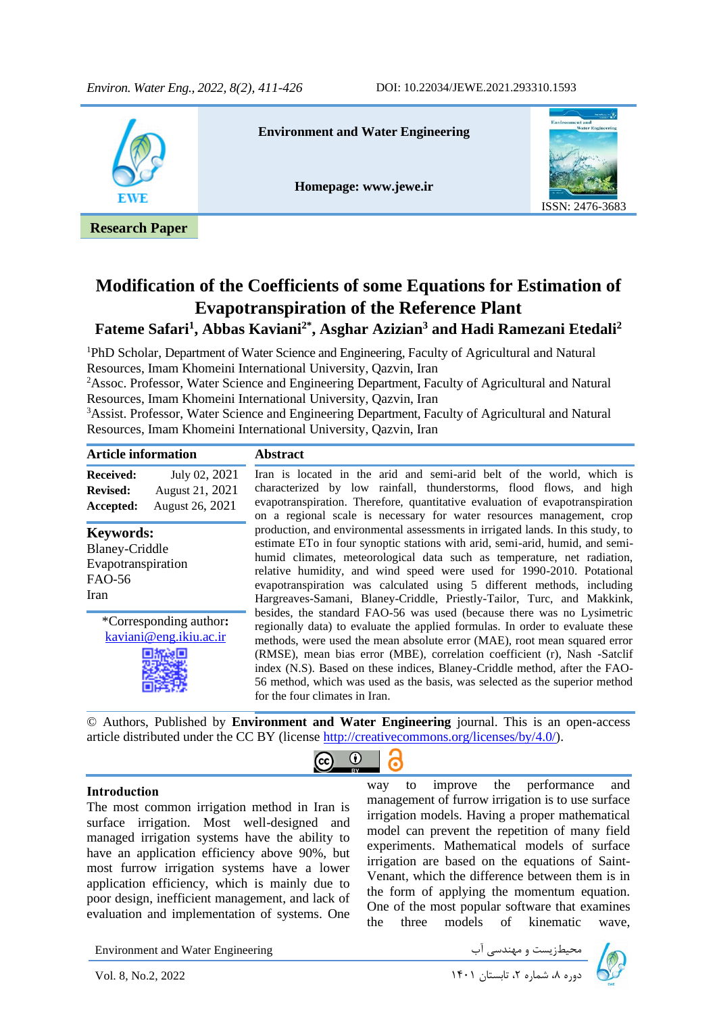

# **Modification of the Coefficients of some Equations for Estimation of Evapotranspiration of the Reference Plant Fateme Safari<sup>1</sup> , Abbas Kaviani2\*, Asghar Azizian<sup>3</sup> and Hadi Ramezani Etedali<sup>2</sup>**

<sup>1</sup>PhD Scholar, Department of Water Science and Engineering, Faculty of Agricultural and Natural Resources, Imam Khomeini International University, Qazvin, Iran

<sup>2</sup>Assoc. Professor, Water Science and Engineering Department, Faculty of Agricultural and Natural Resources, Imam Khomeini International University, Qazvin, Iran

<sup>3</sup>Assist. Professor, Water Science and Engineering Department, Faculty of Agricultural and Natural Resources, Imam Khomeini International University, Qazvin, Iran

| <b>Article information</b>                                                               |                                                     | <b>Abstract</b>                                                                                                                                                                                                                                                                                                                                                                                                                                                                                                  |
|------------------------------------------------------------------------------------------|-----------------------------------------------------|------------------------------------------------------------------------------------------------------------------------------------------------------------------------------------------------------------------------------------------------------------------------------------------------------------------------------------------------------------------------------------------------------------------------------------------------------------------------------------------------------------------|
| <b>Received:</b><br><b>Revised:</b><br>Accepted:                                         | July 02, 2021<br>August 21, 2021<br>August 26, 2021 | Iran is located in the arid and semi-arid belt of the world, which is<br>characterized by low rainfall, thunderstorms, flood flows, and high<br>evapotranspiration. Therefore, quantitative evaluation of evapotranspiration<br>on a regional scale is necessary for water resources management, crop                                                                                                                                                                                                            |
| <b>Keywords:</b><br><b>Blaney-Criddle</b><br>Evapotranspiration<br><b>FAO-56</b><br>Iran |                                                     | production, and environmental assessments in irrigated lands. In this study, to<br>estimate ETo in four synoptic stations with arid, semi-arid, humid, and semi-<br>humid climates, meteorological data such as temperature, net radiation,<br>relative humidity, and wind speed were used for 1990-2010. Potational<br>evapotranspiration was calculated using 5 different methods, including<br>Hargreaves-Samani, Blaney-Criddle, Priestly-Tailor, Turc, and Makkink,                                         |
| *Corresponding author:<br>kaviani@eng.ikiu.ac.ir                                         |                                                     | besides, the standard FAO-56 was used (because there was no Lysimetric<br>regionally data) to evaluate the applied formulas. In order to evaluate these<br>methods, were used the mean absolute error (MAE), root mean squared error<br>(RMSE), mean bias error (MBE), correlation coefficient (r), Nash -Satclif<br>index (N.S). Based on these indices, Blaney-Criddle method, after the FAO-<br>56 method, which was used as the basis, was selected as the superior method<br>for the four climates in Iran. |
|                                                                                          |                                                     | @ Authors, Published by <b>Environment and Water Engineering</b> journal. This is an open access                                                                                                                                                                                                                                                                                                                                                                                                                 |

© Authors, Published by **Environment and Water Engineering** journal. This is an open-access article distributed under the CC BY (license [http://creativecommons.org/licenses/by/4.0/\)](http://creativecommons.org/licenses/by/4.0/).

 $\bf{r}$ 

l,

၉

#### **Introduction**

The most common irrigation method in Iran is surface irrigation. Most well-designed and managed irrigation systems have the ability to have an application efficiency above 90%, but most furrow irrigation systems have a lower application efficiency, which is mainly due to poor design, inefficient management, and lack of evaluation and implementation of systems. One

way to improve the performance and management of furrow irrigation is to use surface irrigation models. Having a proper mathematical model can prevent the repetition of many field experiments. Mathematical models of surface irrigation are based on the equations of Saint-Venant, which the difference between them is in the form of applying the momentum equation. One of the most popular software that examines the three models of kinematic wave,

Environment and Water Engineering دوره ،8 شماره ،2 تابستان 1401 2022 .2,No 8, .Vol

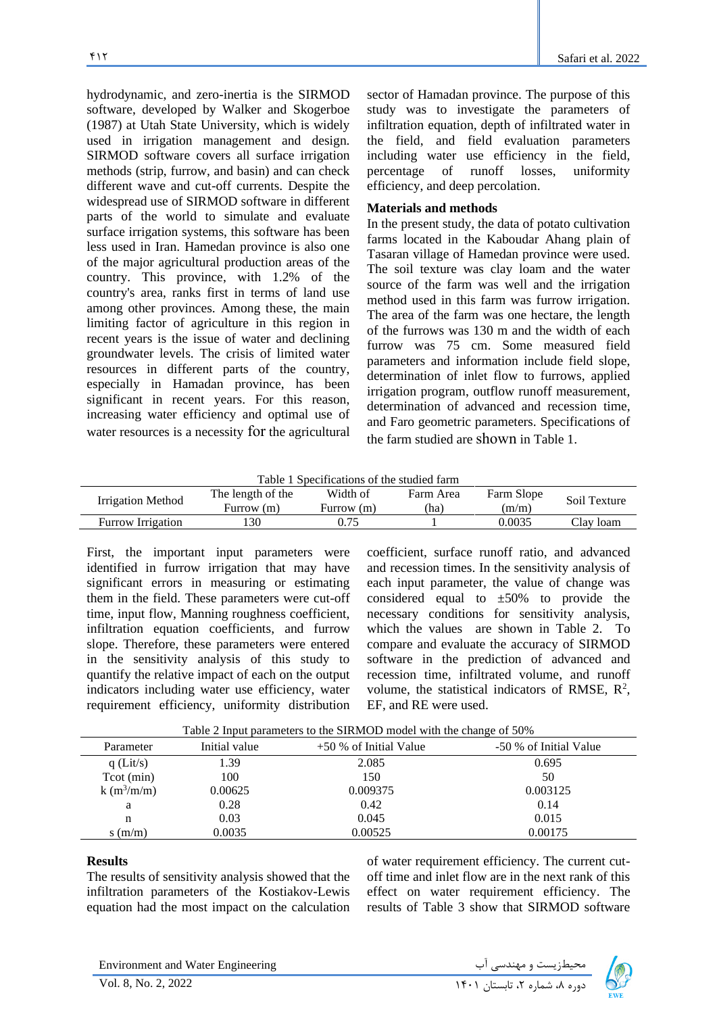hydrodynamic, and zero-inertia is the SIRMOD software, developed by Walker and Skogerboe (1987) at Utah State University, which is widely used in irrigation management and design. SIRMOD software covers all surface irrigation methods (strip, furrow, and basin) and can check different wave and cut-off currents. Despite the widespread use of SIRMOD software in different parts of the world to simulate and evaluate surface irrigation systems, this software has been less used in Iran. Hamedan province is also one of the major agricultural production areas of the country. This province, with 1.2% of the country's area, ranks first in terms of land use among other provinces. Among these, the main limiting factor of agriculture in this region in recent years is the issue of water and declining groundwater levels. The crisis of limited water resources in different parts of the country, especially in Hamadan province, has been significant in recent years. For this reason, increasing water efficiency and optimal use of water resources is a necessity for the agricultural

sector of Hamadan province. The purpose of this study was to investigate the parameters of infiltration equation, depth of infiltrated water in the field, and field evaluation parameters including water use efficiency in the field, percentage of runoff losses, uniformity efficiency, and deep percolation.

### **Materials and methods**

In the present study, the data of potato cultivation farms located in the Kaboudar Ahang plain of Tasaran village of Hamedan province were used. The soil texture was clay loam and the water source of the farm was well and the irrigation method used in this farm was furrow irrigation. The area of the farm was one hectare, the length of the furrows was 130 m and the width of each furrow was 75 cm. Some measured field parameters and information include field slope, determination of inlet flow to furrows, applied irrigation program, outflow runoff measurement, determination of advanced and recession time, and Faro geometric parameters. Specifications of the farm studied are shown in Table 1.

Table 1 Specifications of the studied farm

| Irrigation Method        | The length of the<br>Furrow (m) | Width of<br>Furrow (m) | Farm Area<br>'ha) | Farm Slope<br>(m/m) | Soil Texture |
|--------------------------|---------------------------------|------------------------|-------------------|---------------------|--------------|
| <b>Furrow Irrigation</b> | 30                              |                        |                   | 0.0035              | Clay loam    |

First, the important input parameters were identified in furrow irrigation that may have significant errors in measuring or estimating them in the field. These parameters were cut-off time, input flow, Manning roughness coefficient, infiltration equation coefficients, and furrow slope. Therefore, these parameters were entered in the sensitivity analysis of this study to quantify the relative impact of each on the output indicators including water use efficiency, water requirement efficiency, uniformity distribution

coefficient, surface runoff ratio, and advanced and recession times. In the sensitivity analysis of each input parameter, the value of change was considered equal to  $\pm 50\%$  to provide the necessary conditions for sensitivity analysis, which the values are shown in Table 2. To compare and evaluate the accuracy of SIRMOD software in the prediction of advanced and recession time, infiltrated volume, and runoff volume, the statistical indicators of RMSE,  $R^2$ , EF, and RE were used.

| Table 2 Input parameters to the SIRMOD model with the change of 50% |  |  |
|---------------------------------------------------------------------|--|--|
|                                                                     |  |  |

| Parameter    | Initial value | $+50\%$ of Initial Value | -50 % of Initial Value |
|--------------|---------------|--------------------------|------------------------|
| $q$ (Lit/s)  | 1.39          | 2.085                    | 0.695                  |
| Tot (min)    | 100           | 150                      | 50                     |
| $k(m^3/m/m)$ | 0.00625       | 0.009375                 | 0.003125               |
| a            | 0.28          | 0.42                     | 0.14                   |
| n            | 0.03          | 0.045                    | 0.015                  |
| s(m/m)       | 0.0035        | 0.00525                  | 0.00175                |

#### **Results**

The results of sensitivity analysis showed that the infiltration parameters of the Kostiakov-Lewis equation had the most impact on the calculation of water requirement efficiency. The current cutoff time and inlet flow are in the next rank of this effect on water requirement efficiency. The results of Table 3 show that SIRMOD software

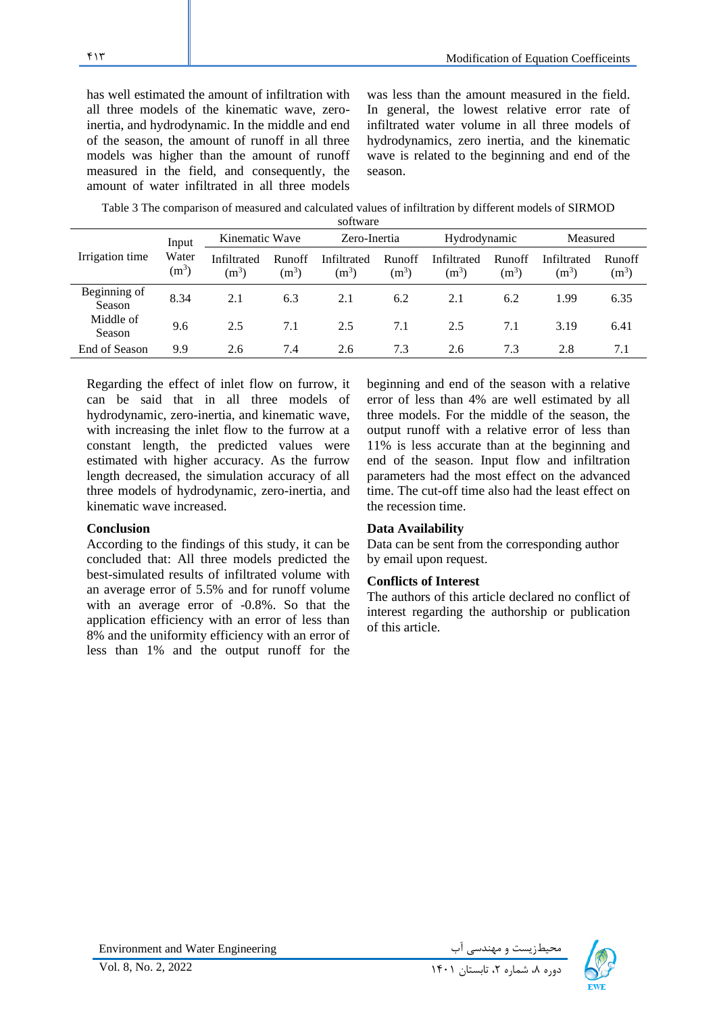has well estimated the amount of infiltration with all three models of the kinematic wave, zeroinertia, and hydrodynamic. In the middle and end of the season, the amount of runoff in all three models was higher than the amount of runoff measured in the field, and consequently, the amount of water infiltrated in all three models

was less than the amount measured in the field. In general, the lowest relative error rate of infiltrated water volume in all three models of hydrodynamics, zero inertia, and the kinematic wave is related to the beginning and end of the season.

Table 3 The comparison of measured and calculated values of infiltration by different models of SIRMOD

|                        |                  |                        |                          | software               |                          |                        |                   |                        |                   |
|------------------------|------------------|------------------------|--------------------------|------------------------|--------------------------|------------------------|-------------------|------------------------|-------------------|
|                        | Input            | Kinematic Wave         |                          | Zero-Inertia           |                          | Hydrodynamic           |                   | Measured               |                   |
| Irrigation time        | Water<br>$(m^3)$ | Infiltrated<br>$(m^3)$ | <b>Runoff</b><br>$(m^3)$ | Infiltrated<br>$(m^3)$ | <b>Runoff</b><br>$(m^3)$ | Infiltrated<br>$(m^3)$ | Runoff<br>$(m^3)$ | Infiltrated<br>$(m^3)$ | Runoff<br>$(m^3)$ |
| Beginning of<br>Season | 8.34             | 2.1                    | 6.3                      | 2.1                    | 6.2                      | 2.1                    | 6.2               | 1.99                   | 6.35              |
| Middle of<br>Season    | 9.6              | 2.5                    | 7.1                      | 2.5                    | 7.1                      | 2.5                    | 7.1               | 3.19                   | 6.41              |
| End of Season          | 9.9              | 2.6                    | 7.4                      | 2.6                    | 7.3                      | 2.6                    | 7.3               | 2.8                    | 7.1               |

Regarding the effect of inlet flow on furrow, it can be said that in all three models of hydrodynamic, zero-inertia, and kinematic wave, with increasing the inlet flow to the furrow at a constant length, the predicted values were estimated with higher accuracy. As the furrow length decreased, the simulation accuracy of all three models of hydrodynamic, zero-inertia, and kinematic wave increased.

#### **Conclusion**

According to the findings of this study, it can be concluded that: All three models predicted the best-simulated results of infiltrated volume with an average error of 5.5% and for runoff volume with an average error of -0.8%. So that the application efficiency with an error of less than 8% and the uniformity efficiency with an error of less than 1% and the output runoff for the

beginning and end of the season with a relative error of less than 4% are well estimated by all three models. For the middle of the season, the output runoff with a relative error of less than 11% is less accurate than at the beginning and end of the season. Input flow and infiltration parameters had the most effect on the advanced time. The cut-off time also had the least effect on the recession time.

#### **Data Availability**

Data can be sent from the corresponding author by email upon request.

#### **Conflicts of Interest**

The authors of this article declared no conflict of interest regarding the authorship or publication of this article.

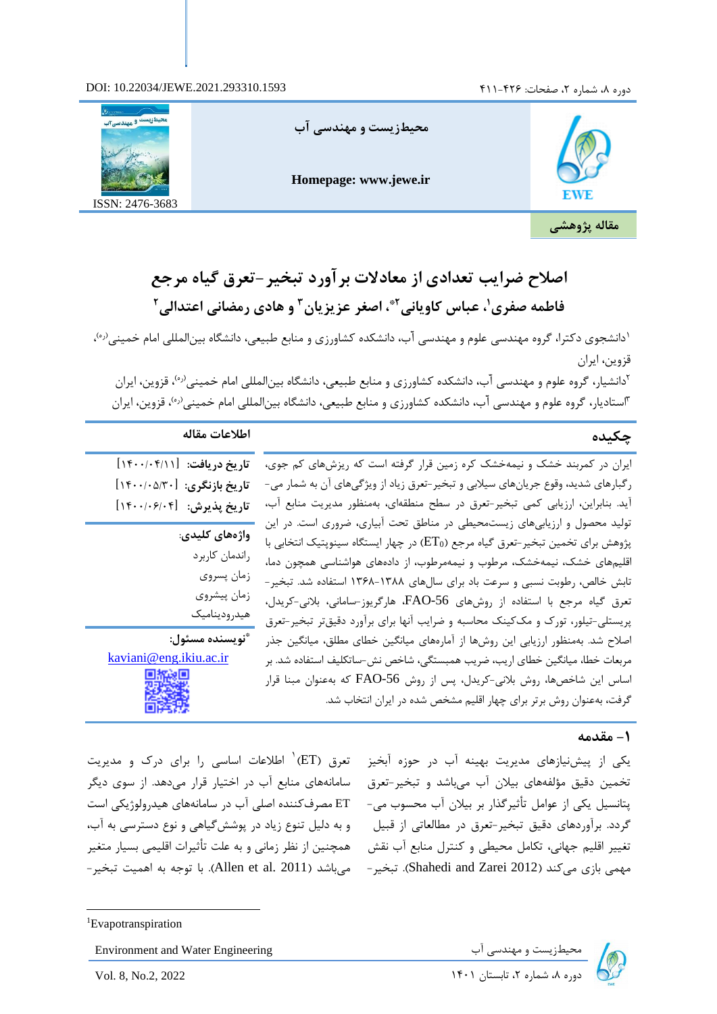### دوره ۸، شماره ۲، صفحات: ۴۲۶–۴۱۱ **۴**۲۱





**اصالح ضرایب تعدادی از معادالت برآورد تبخی ر-تعرق گیاه مرجع ، اصغر عزیزیان 2\* ، عباس کاویانی <sup>1</sup> فاطمه صفری و هادی رمضانی اعتدالی <sup>3</sup> 2**

<sup>۱</sup>دانشجوی دکترا، گروه مهندسی علوم و مهندسی آب، دانشکده کشاورزی و منابع طبیعی، دانشگاه بینالمللی امام خمینی<sup>(۵٫</sup>۰ قزوین، ایران

<sup>۲</sup>دانشیار، گروه علوم و مهندسی آب، دانشکده کشاورزی و منابع طبیعی، دانشگاه بین|لمللی امام خمینی<sup>(ره)</sup>، قزوین، ایران <sup>۳</sup>استادیار، گروه علوم و مهندسی آب، دانشکده کشاورزی و منابع طبیعی، دانشگاه بین|لمللی امام خمینی<sup>(ره)</sup>، قزوین، ایران

# **چکیده اطالعات مقاله**

ایران در کمربند خشک و نیمهخشک کره زمین قرار گرفته است که ریزشهای کم جوی، رگبارهای شدید، وقوع جریانهای سیالبی و تبخ یر-تعرق زیاد از ویژگیهای آن به شمار می- آید. بنابراین، ارزیابی کمی تبخیر-تعرق در سطح منطقه ای، به منظور مدیریت منابع آب، تولید محصول و ارزیابیهای زیستمحیطی در مناطق تحت آبیاری، ضروری است . در این پژوهش برای تخمین تبخیر-تعرق گیاه مرجع (ET0) در چهار ایستگاه سینوپتیک انتخابی با اقلیمهای خشک، نیمهخشک، مرطوب و نیمهمرطوب، از دادههای هواشناسی همچون دما، تابش خالص، رطوبت نسبی و سرعت باد برای سال های 1368-1388 استفاده شد. تبخیر- تعرق گیاه مرجع با استفاده از روشهای -56FAO، هارگریوز-سامانی، بالنی-کریدل، پریستلی-تیلور، تورک و مککینک محاسبه و ضرایب آنها برای برآورد دقیقتر تبخیر-تعرق اصالح شد. به منظور ارزیابی این روشها از آماره های میانگین خطای مطلق، میانگین جذر مربعات خطا، میانگین خطای اریب، ضریب همبستگی، شاخص نش-ساتکلیف استفاده شد. بر اساس این شاخصها، روش بالنی-کریدل، پس از روش -56FAO که بهعنوان مبنا قرار گرفت، بهعنوان روش برتر برای چهار اقلیم مشخص شده در ایران انتخاب شد.

# **تاریخ دریافت:** ]1400/04/11[ **تاریخ بازنگری:** ]1400/05/30[ **تاریخ پذیرش:** ]1400/06/04[ **واژه های کلیدی**: راندمان کاربرد

زمان پسروی زمان پیشروی هیدرودینامیک

تعرق )ET ) 1 اطالعات اساسی را برای درک و مدیریت سامانههای منابع آب در اختیار قرار میدهد . از سوی دیگر ET مصرفکننده اصلی آب در سامانههای هیدرولوژیکی است و به دلیل تنوع زیاد در پوششگیاهی و نوع دسترسی به آب،

**\* نویسنده مسئول:**  kaviani@eng.ikiu.ac.ir

## **-1 مقدمه**

یکی از پیشنیازهای مدیریت بهینه آب در حوزه آبخیز تخمین دقیق مؤلفههای بیلان آب میباشد و تبخیر-تعرق پتانسیل یکی از عوامل تأثیرگذار بر بیالن آب محسوب می- گردد. برآوردهای دقیق تبخیر-تعرق در مطالعاتی از قبیل تغییر اقلیم جهانی، تکامل محیطی و کنترل منابع آب نقش همچنین از نظر زمانی و به علت تأثیرات اقلیمی بسیار متغیر مهمی بازی میکند )2012 Zarei and Shahedi). تبخیر-

میباشد )2011 .al et Allen). با توجه به اهمیت تبخیر-



Environment and Water Engineering دوره ،8 شماره ،2 تابستان 1401 2022 .2,No 8, .Vol

<sup>1</sup>Evapotranspiration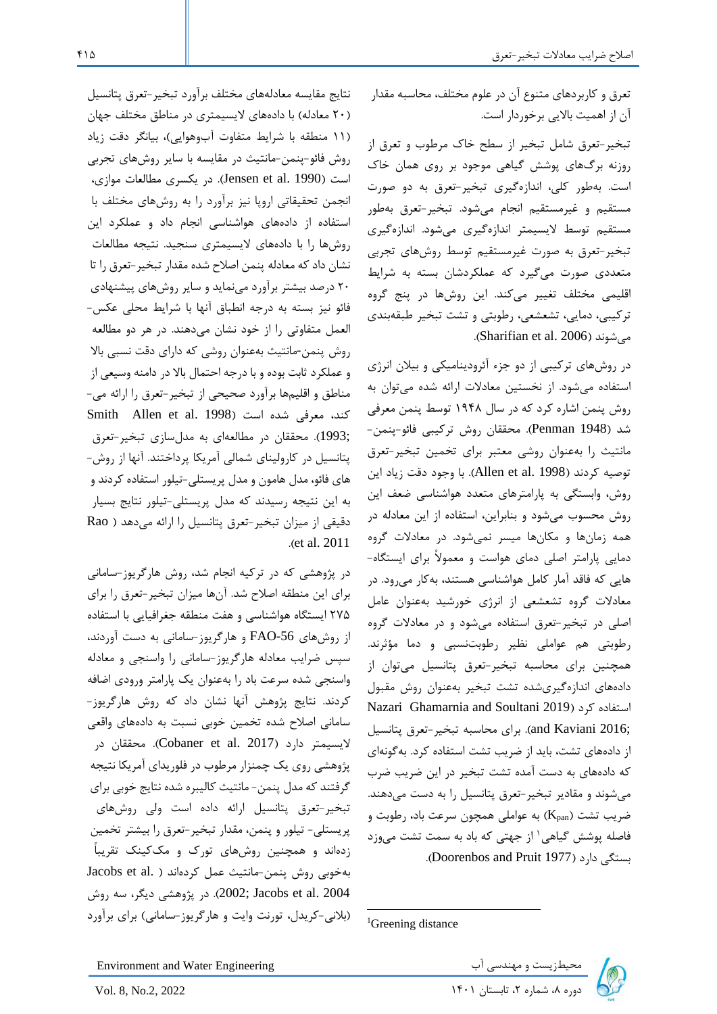تعرق و کاربردهای متنوع آن در علوم مختلف، محاسبه مقدار آن از اهمیت باالیی برخوردار است .

تبخیر-تعرق شامل تبخیر از سطح خاک مرطوب و تعرق از روزنه برگهای پوشش گیاهی موجود بر روی همان خاک است. بهطور کلی، اندازهگیری تبخیر-تعرق به دو صورت مستقیم و غیرمستقیم انجام میشود. تبخیر-تعرق بهطور مستقیم توسط الیسیمتر اندازه گیری میشود. اندازهگیری تبخیر-تعرق به صورت غیرمستقیم توسط روشهای تجربی متعددی صورت میگیرد که عملکردشان بسته به شرایط اقلیمی مختلف تغییر میکند . این روشها در پنج گروه ترکیبی، دمایی، تشعشعی، رطوبتی و تشت تبخیر طبقهبندی .)Sharifian et al. 2006( میشوند

در روشهای ترکیبی از دو جزء آئرودینامیکی و بیالن انرژی استفاده میشود. از نخستین معادالت ارائه شده میتوان به روش پنمن اشاره کرد که در سال 1948 توسط پنمن معرفی شد )1948 Penman). محققان روش ترکیبی فائو-پنمن- مانتیث را بهعنوان روشی معتبر برای تخمین تبخیر-تعرق توصیه کردند )1998 .al et Allen). با وجود دقت زیاد این روش، وابستگی به پارامترهای متعدد هواشناسی ضعف این روش محسوب میشود و بنابراین، استفاده از این معادله در همه زمانها و مکانها میسر نمیشود. در معادالت گروه دمایی پارامتر اصلی دمای هواست و معموالً برای ایستگاه- هایی که فاقد آمار کامل هواشناسی هستند، بهکار میرود . در معادالت گروه تشعشعی از انرژی خورشید به عنوان عامل اصلی در تبخیر-تعرق استفاده میشود و در معادالت گروه رطوبتی هم عواملی نظیر رطوبتنسبی و دما مؤثرند. همچنین برای محاسبه تبخیر-تعرق پتانسیل میتوان از دادههای اندازهگیریشده تشت تبخیر به عنوان روش مقبول Nazari Ghamarnia and Soultani 2019( کرد استفاده ;2016 Kaviani and). برای محاسبه تبخیر-تعرق پتانسیل از دادههای تشت، باید از ضریب تشت استفاده کرد. بهگونهای که دادههای به دست آمده تشت تبخیر در این ضریب ضرب میشوند و مقادیر تبخیر-تعرق پتانسیل را به دست میدهند. ضریب تشت (K<sub>pan</sub>) به عواملی همچون سرعت باد، رطوبت و <sup>1</sup> فاصله پوشش گیاهی از جهتی که باد به سمت تشت میوزد .)Doorenbos and Pruit 1977( دارد بستگی



Environment and Water Engineering دوره ،8 شماره ،2 تابستان 1401 2022 .2,No 8, .Vol

نتایج مقایسه معادلههای مختلف برآورد تبخی ر-تعرق پتانسیل )20 معادله( با دادههای الیسیمتری در مناطق مختلف جهان )11 منطقه با شرایط متفاوت آبوهوایی(، بیانگر دقت زیاد روش فائو-پنمن-مانتیث در مقایسه با سایر روشهای تجربی است )1990 .al et Jensen). در یکسری مطالعات موازی، انجمن تحقیقاتی اروپا نیز برآورد را به روشهای مختلف با استفاده از دادههای هواشناسی انجام داد و عملکرد این روشها را با داده های الیسیمتری سنجید. نتیجه مطالعات نشان داد که معادله پنمن اصالح شده مقدار تبخیر-تعرق را تا 20 درصد بیشتر برآورد مینماید و سایر روشهای پیشنهادی فائو نیز بسته به درجه انطباق آنها با شرایط محلی عکس- العمل متفاوتی را از خود نشان میدهند. در هر دو مطالعه روش پنمن-مانتیث به عنوان روشی که دارای دقت نسبی باال و عملکرد ثابت بوده و با درجه احتمال باال در دامنه وسیعی از مناطق و اقلیمها برآورد صحیحی از تبخ یر-تعرق را ارائه می- کند، معرفی شده است (1998 .Smith Allen et al S ;1993(. محققان در مطالعهای به مدلسازی تبخیر-تعرق پتانسیل در کارولینای شمالی آمریکا پرداختند. آنها از روش- های فائو، مدل هامون و مدل پریستلی-تیلور استفاده کردند و به این نتیجه رسیدند که مدل پریستلی-تیلور نتایج بسیار دقیقی از میزان تبخیر-تعرق پتانسیل را ارائه میدهد ( Rao .)et al. 2011

در پژوهشی که در ترکیه انجام شد، روش هارگریوز-سامانی برای این منطقه اصالح شد. آنها میزان تبخیر-تعرق را برای 275 ایستگاه هواشناسی و هفت منطقه جغرافیایی با استفاده از روشهای -56FAO و هارگریوز-سامانی به دست آوردند، سپس ضرایب معادله هارگریوز-سامانی را واسنجی و معادله واسنجی شده سرعت باد را بهعنوان یک پارامتر ورودی اضافه کردند. نتایج پژوهش آنها نشان داد که روش هارگریوز- سامانی اصالح شده تخمین خوبی نسبت به داده های واقعی لایسیمتر دارد (Cobaner et al. 2017). محققان در پژوهشی روی یک چمنزار مرطوب در فلوریدای آمریکا نتیجه گرفتند که مدل پنمن- مانتیث کالیبره شده نتایج خوبی برای تبخیر-تعرق پتانسیل ارائه داده است ولی روشهای پریستلی- تیلور و پنمن، مقدار تبخیر-تعرق را بیشتر تخمین زدهاند و همچنین روشهای تورک و مککینک تقریباً بهخوبی روش پنمن-مانتیث عمل کردهاند ( .Jacobs et al 2004 .al et Jacobs; 2002). در پژوهشی دیگر، سه روش )بالنی -کریدل، تورنت وایت و هارگریوز-سامانی ( برای برآورد

<sup>&</sup>lt;sup>1</sup>Greening distance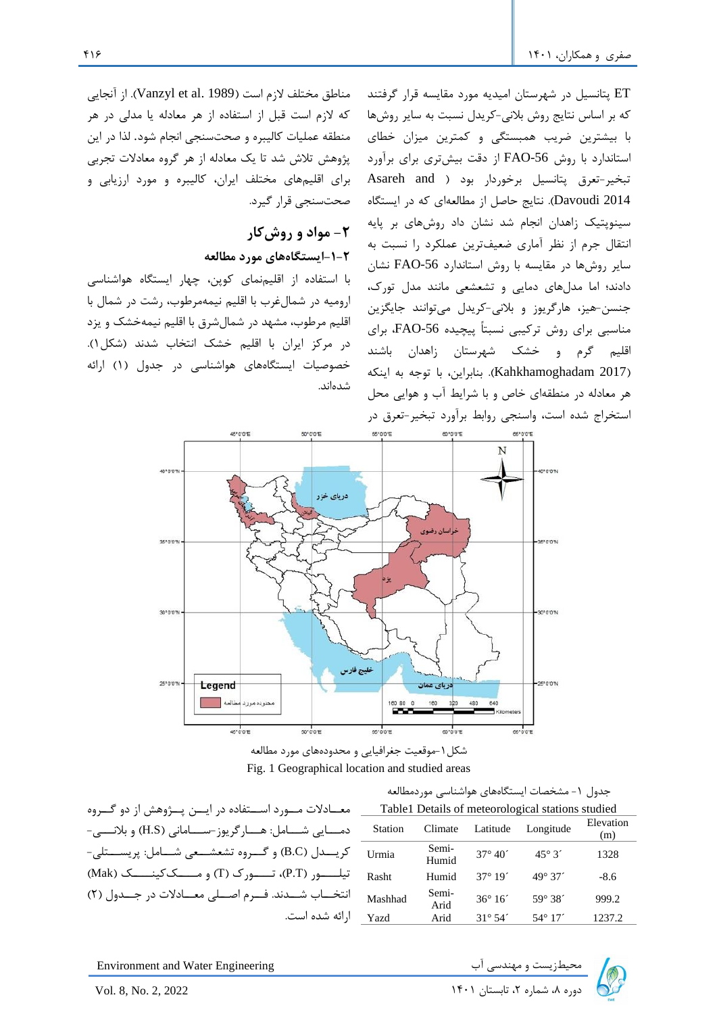مناطق مختلف لازم است (Vanzyl et al. 1989). از آنجایی که الزم است قبل از استفاده از هر معادله یا مدلی در هر منطقه عملیات کالیبره و صحتسنجی انجام شود. لذا در این پژوهش تالش شد تا یک معادله از هر گروه معادالت تجربی برای اقلیمهای مختلف ایران، کالیبره و مورد ارزیابی و صحت سنجی قرار گیرد.

# **-2 مواد و روشکار -1-2ایستگاههای مورد مطالعه**

با استفاده از اقلیمنمای کوپن، چهار ایستگاه هواشناسی ارومیه در شمالغرب با اقلیم نیمهمرطوب، رشت در شمال با اقلیم مرطوب، مشهد در شمالشرق با اقلیم نیمهخشک و یزد در مرکز ایران با اقلیم خشک انتخاب شدند )شکل1(. خصوصیات ایستگاههای هواشناسی در جدول )1( ارائه شدهاند.

ET پتانسیل در شهرستان امیدیه مورد مقایسه قرار گرفتند که بر اساس نتایج روش بالنی-کر یدل نسبت به سایر روشها با بیشترین ضریب همبستگی و کمترین میزان خطای استاندارد با روش FAO-56 از دقت بیشتری برای برآورد تبخیر-تعرق پتانسیل برخوردار بود ( Asareh and 2014 Davoudi). نتایج حاصل از مطالعهای که در ایستگاه سینوپتیک زاهدان انجام شد نشان داد روشهای بر پایه انتقال جرم از نظر آماری ضعیف ترین عملکرد را نسبت به سایر روشها در مقایسه با روش استاندارد -56FAO نشان دادند؛ اما مدلهای دمایی و تشعشعی مانند مدل تورک، جنسن-هیز، هارگریوز و بالنی -کریدل میتوانند جایگزین مناسبی برای روش ترکیبی نسبتاً پ یچیده -56FAO، برای اقلیم گرم و خشک شهرستان زاهدان باشند )2017 Kahkhamoghadam). بنابراین، با توجه به اینکه هر معادله در منطقهای خاص و با شرایط آب و هوایی محل استخراج شده است، واسنجی روابط برآورد تبخیر-تعرق در



شکل-1موقعیت جغرافیایی و محدودههای مورد مطالعه Fig. 1 Geographical location and studied areas

|                                                                | جدول ١- مشخصات ايستگاههاي هواشناسي موردمطالعه |                |                  |                                                   |                  |  |  |  |
|----------------------------------------------------------------|-----------------------------------------------|----------------|------------------|---------------------------------------------------|------------------|--|--|--|
| معــادلات مـــورد اســـتفاده در ايـــن پـــژوهش از دو گـــروه  |                                               |                |                  | Table1 Details of meteorological stations studied |                  |  |  |  |
| دمــــایی شــــامل: هــــارگریوز-ســــامانی (H.S) و بلانــــی- | Station                                       | Climate        | Latitude         | Longitude                                         | Elevation<br>(m) |  |  |  |
| كريــــدل (B.C) و گــــروه تشعشـــعى شــــامل: پريســــتلى-    | Urmia                                         | Semi-<br>Humid | $37^{\circ} 40'$ | $45^{\circ}3'$                                    | 1328             |  |  |  |
| تیلـــــور (P.T)، تـــــورک (T) و مـــــک کینـــــک (Mak)      | Rasht                                         | Humid          | $37^{\circ} 19'$ | $49^{\circ} 37'$                                  | $-8.6$           |  |  |  |
| انتخـــاب شـــدند. فـــرم اصـــلی معـــادلات در جـــدول (۲)    | Mashhad                                       | Semi-<br>Arid  | $36^{\circ} 16'$ | 59° 38 <sup>-</sup>                               | 999.2            |  |  |  |
| ارائه شده است.                                                 | Yazd                                          | Arid           | $31^{\circ} 54'$ | $54^{\circ}$ 17'                                  | 1237.2           |  |  |  |

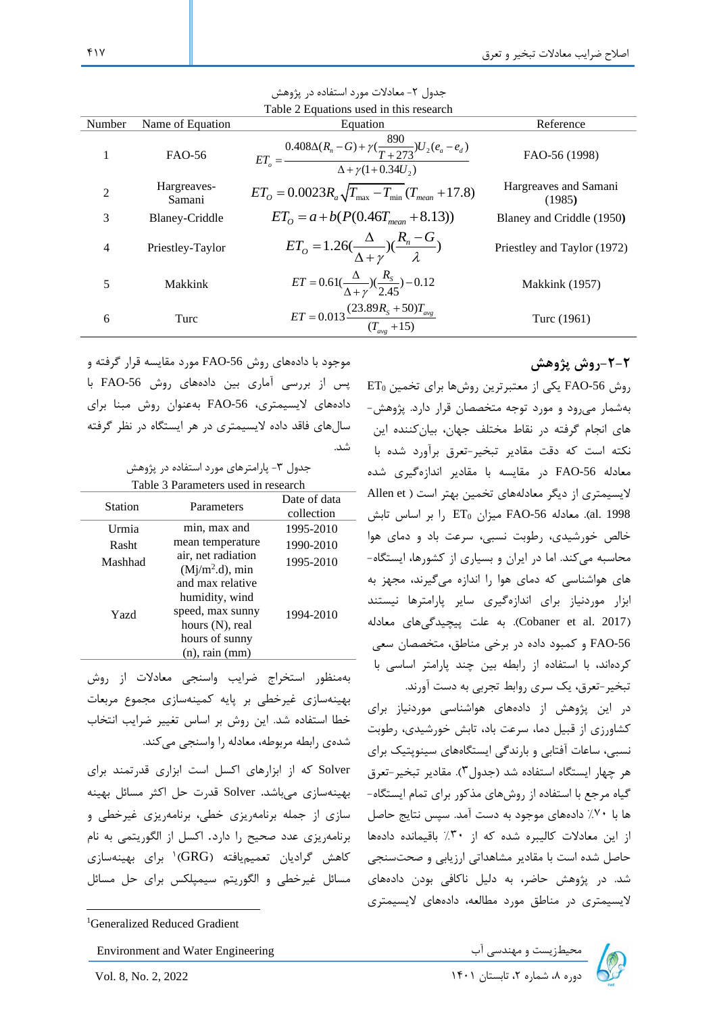| Number         | Name of Equation      | Equation                                                                                                          | Reference                       |
|----------------|-----------------------|-------------------------------------------------------------------------------------------------------------------|---------------------------------|
|                | FAO-56                | $ET_o = \frac{0.408 \Delta (R_n - G) + \gamma (\frac{890}{T+273}) U_2 (e_a - e_d)}{\Delta + \gamma (1+0.34 U_2)}$ | FAO-56 (1998)                   |
| $\overline{2}$ | Hargreaves-<br>Samani | $ET_{\Omega} = 0.0023 R_a \sqrt{T_{\text{max}} - T_{\text{min}}}(T_{\text{mean}} + 17.8)$                         | Hargreaves and Samani<br>(1985) |
| 3              | Blaney-Criddle        | $ET_{\scriptscriptstyle O} = a + b(P(0.46T_{\scriptscriptstyle{mean}} + 8.13))$                                   | Blaney and Criddle (1950)       |
| 4              | Priestley-Taylor      | $ET_o = 1.26(\frac{\Delta}{\Delta + \gamma})(\frac{R_n - G}{\lambda})$                                            | Priestley and Taylor (1972)     |
| 5              | Makkink               | $ET = 0.61(\frac{\Delta}{\Delta + \gamma})(\frac{R_s}{2.45}) - 0.12$                                              | Makkink (1957)                  |
| 6              | Turc                  | $ET = 0.013 \frac{(23.89R_s + 50)T_{avg}}{(T_{avg} + 15)}$                                                        | Turc (1961)                     |

#### جدول ۲- معادلات مورد استفاده در پژوهش Table 2 Equations used in this research

**-2-2روش پژوهش** 

روش -56FAO یکی از معتبرترین روشها برای تخمین <sup>0</sup>ET بهشمار میرود و مورد توجه متخصصان قرار دارد. پژوهش- های انجام گرفته در نقاط مختلف جهان، بیانکننده این نکته است که دقت مقادیر تبخیر-تعرق برآورد شده با معادله -56FAO در مقایسه با مقادیر اندازهگیری شده الیسیمتری از دیگر معادلههای تخمین بهتر است ( Allen et V <sub>-</sub> معادله 56-FAO میزان  $_{\rm ET}$  را بر اساس تابش  $_{\rm I}$ خالص خورشیدی، رطوبت نسبی، سرعت باد و دمای هوا محاسبه میکند . اما در ایران و بسیاری از کشورها، ایستگاه - های هواشناسی که دمای هوا را اندازه میگیرند، مجهز به ابزار موردنیاز برای اندازهگیری سایر پارامترها نیستند )2017 .al et Cobaner). به علت پیچیدگیهای معادله -56FAO و کمبود داده در برخی مناطق، متخصصان سعی کردهاند، با استفاده از رابطه بین چند پارامتر اساسی با تبخیر-تعرق، یک سری روابط تجربی به دست آورند.

در این پژوهش از دادههای هواشناسی موردنیاز برای کشاورزی از قبیل دما، سرعت باد، تابش خورشیدی، رطوبت نسبی، ساعات آفتابی و بارندگی ایستگاههای سینوپتیک برای هر چهار ایستگاه استفاده شد )جدول3(. مقادیر تبخیر-تعرق گیاه مرجع با استفاده از روشهای مذکور برای تمام ایستگاه- ها با %70 دادههای موجود به دست آمد. سپس نتایج حاصل از این معادالت کالیبره شده که از %30 باقیمانده دادهها حاصل شده است با مقادیر مشاهداتی ارزیابی و صحتسنجی شد. در پژوهش حاضر، به دلیل ناکافی بودن دادههای الیسیمتری در مناطق مورد مطالعه، دادههای الیسیمتری

دیریست و مهندسی آب استان دوره بهندسی آب استان دوره بهندسی آب استان در Environment and Water Engineering<br>بوره ۸، شماره ۲، تابستان ۱۴۰۱

موجود با دادههای روش -56FAO مورد مقایسه قرار گرفته و پس از بررسی آماری بین دادههای روش -56FAO با دادههای لایسیمتری، FAO-56 بهعنوان روش مبنا برای سالهای فاقد داده الیسیمتری در هر ایستگاه در نظر گرفته شد.

> جدول ۳- پارامترهای مورد استفاده در پژوهش Table 3 Parameters used in research

| <b>Station</b> | Parameters                                                                                                         | Date of data<br>collection |
|----------------|--------------------------------------------------------------------------------------------------------------------|----------------------------|
| Urmia          | min, max and                                                                                                       | 1995-2010                  |
| Rasht          | mean temperature                                                                                                   | 1990-2010                  |
| Mashhad        | air, net radiation<br>$(Mj/m2.d)$ , min                                                                            | 1995-2010                  |
| Yazd           | and max relative<br>humidity, wind<br>speed, max sunny<br>hours (N), real<br>hours of sunny<br>$(n)$ , rain $(mm)$ | 1994-2010                  |

بهمنظور استخراج ضرایب واسنجی معادالت از روش بهینهسازی غیرخطی بر پایه کمینهسازی مجموع مربعات خطا استفاده شد . این روش بر اساس تغییر ضرایب انتخاب شدهی رابطه مربوطه، معادله را واسنجی میکند .

Solver که از ابزارهای اکسل است ابزاری قدرتمند برای بهینهسازی میباشد**.** Solver قدرت حل اکثر مسائل بهینه سازی از جمله برنامهریزی خطی، برنامهریزی غیرخطی و برنامهریزی عدد صحیح را دارد. اکسل از الگوریتمی به نام کاهش گرادیان تعمیمیافته (GRG)<sup>۱</sup> برای بهینهسازی مسائل غیرخطی و الگوریتم سیمپلکس برای حل مسائل

Environment and Water Engineering

<sup>&</sup>lt;sup>1</sup>Generalized Reduced Gradient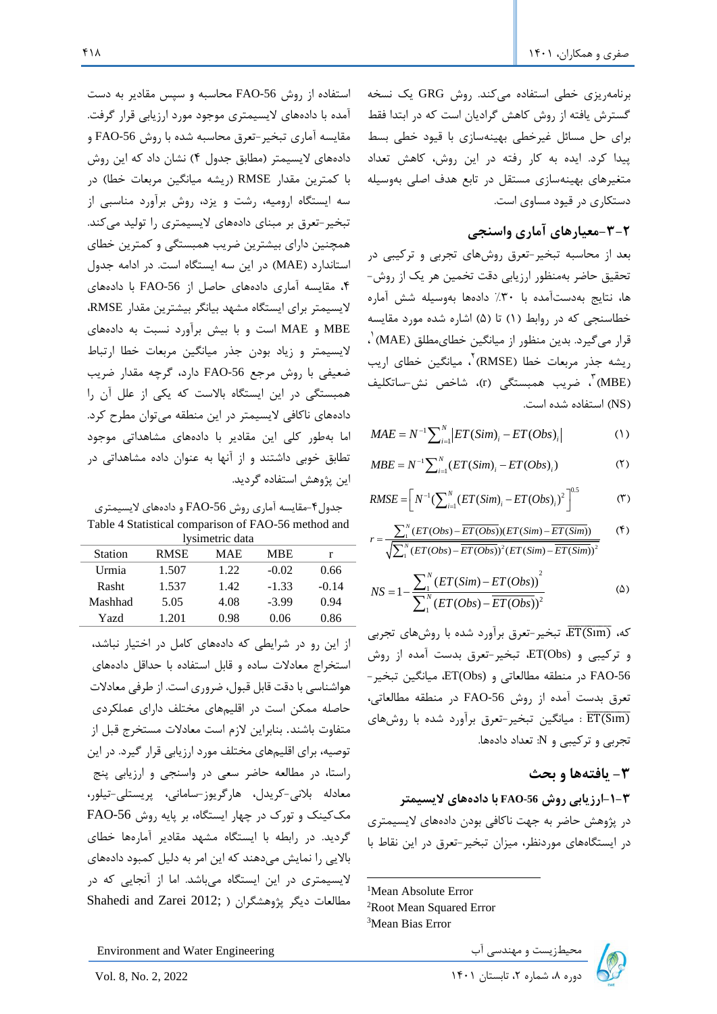برنامهریزی خطی استفاده میکند. روش GRG یک نسخه گسترش یافته از روش کاهش گرادیان است که در ابتدا فقط برای حل مسائل غیرخطی بهینهسازی با قیود خطی بسط پیدا کرد. ایده به کار رفته در این روش، کاهش تعداد متغیرهای بهینهسازی مستقل در تابع هدف اصلی بهوسیله دستکاری در قیود مساوی است.

# **-3-2معیارهای آماری واسنجی**

بعد از محاسبه تبخیر-تعرق روشهای تجربی و ترکیبی در تحقیق حاضر به منظور ارزیابی دقت تخمین هر یک از روش- ها، نتایج بهدستآمده با %30 دادهها بهوسیله شش آماره خطاسنجی که در روابط (۱) تا (۵) اشاره شده مورد مقایسه قرار میگیرد. بدین منظور از میانگین خطایمطلق (MAE) <sup>۰</sup>، ریشه جذر مربعات خطا (RMSE) ، میانگین خطای اریب (MBE) <sup>۳</sup>، ضریب همبستگی (r)، شاخص نش-ساتکلیف )NS )استفاده شده است.

$$
MAE = N^{-1} \sum_{i=1}^{N} |ET(Sim)_i - ET(Obs)_i|
$$
 (1)

$$
MBE = N^{-1} \sum_{i=1}^{N} (ET(Sim)_i - ET(Obs)_i)
$$
 (5)

$$
RMSE = \left[ N^{-1} \left( \sum_{i=1}^{N} (ET(Sim)_i - ET(Obs)_i)^2 \right)^{0.5} \right]^{0.5}
$$
 (7)

$$
r = \frac{\sum_{i=1}^{N} (ET(Obs) - \overline{ET(Obs)}) (ET(Sim) - \overline{ET(Sim)})}{\sqrt{\sum_{i=1}^{N} (ET(Obs) - \overline{ET(Obs)})^2 (ET(Sim) - \overline{ET(Sim)})^2}}
$$
( $\uparrow$ )

$$
NS = 1 - \frac{\sum_{1}^{N} (ET(Sim) - ET(Obs))^{2}}{\sum_{1}^{N} (ET(Obs) - ET(Obs))^{2}}
$$
 (Δ)

که،  $\overline{\text{ET(Sim)}}$ ، تبخیر-تعرق برآورد شده با روشهای تجربی و ترکیبی و (ET(Obs، تبخیر-تعرق بدست آمده از روش FAO-56 در منطقه مطالعاتی و (ET(Obs، میانگین تبخیر-تعرق بدست آمده از روش 56-FAO در منطقه مطالعاتی، تا میانگین تبخیر-تعرق برآورد شده با روشهای  $\overline{\text{ET(Sim)}}$ تجربی و ترکیبی و N: تعداد داده ها.

## **-3 یافتهها و بحث**

### **-1-3ارزیابی روش -56FAO با دادههای الیسیمتر**

در پژوهش حاضر به جهت ناکافی بودن دادههای الیسیمتری در ایستگاههای موردنظر، میزان تبخیر-تعرق در این نقاط با

<sup>1</sup>Mean Absolute Error <sup>2</sup>Root Mean Squared Error <sup>3</sup>Mean Bias Error





جدول-4مقایسه آماری روش -56FAO و دادههای الیسیمتری Table 4 Statistical comparison of FAO-56 method and lysimetric data

|                |             | 1,5mmvare aana |         |         |
|----------------|-------------|----------------|---------|---------|
| <b>Station</b> | <b>RMSE</b> | MAE            | MBE     |         |
| Urmia          | 1.507       | 1.22           | $-0.02$ | 0.66    |
| Rasht          | 1.537       | 1.42           | $-1.33$ | $-0.14$ |
| Mashhad        | 5.05        | 4.08           | $-3.99$ | 0.94    |
| Yazd           | 1.201       | 0.98           | 0.06    | 0.86    |
|                |             |                |         |         |

از این رو در شرایطی که دادههای کامل در اختیار نباشد، استخراج معادالت ساده و قابل استفاده با حداقل داده های هواشناسی با دقت قابل قبول، ضروری است. از طرفی معادالت حاصله ممکن است در اقلیمهای مختلف دارای عملکردی متفاوت باشند. بنابراین الزم است معادالت مستخرج قبل از توصیه، برای اقلیمهای مختلف مورد ارزیابی قرار گیرد. در این راستا، در مطالعه حاضر سعی در واسنجی و ارزیابی پنج معادله بالنی -کریدل، هارگریوز-سامانی، پریستلی-تیلور، مککینک و تورک در چهار ایستگاه، بر پایه روش FAO-56 گردید. در رابطه با ایستگاه مشهد مقادیر آمارهها خطای بالایی را نمایش می دهند که این امر به دلیل کمبود دادههای الیسیمتری در این ایستگاه می باشد. اما از آنجایی که در مطالعات د یگر پژوهشگران ) ;2012 Zarei and Shahedi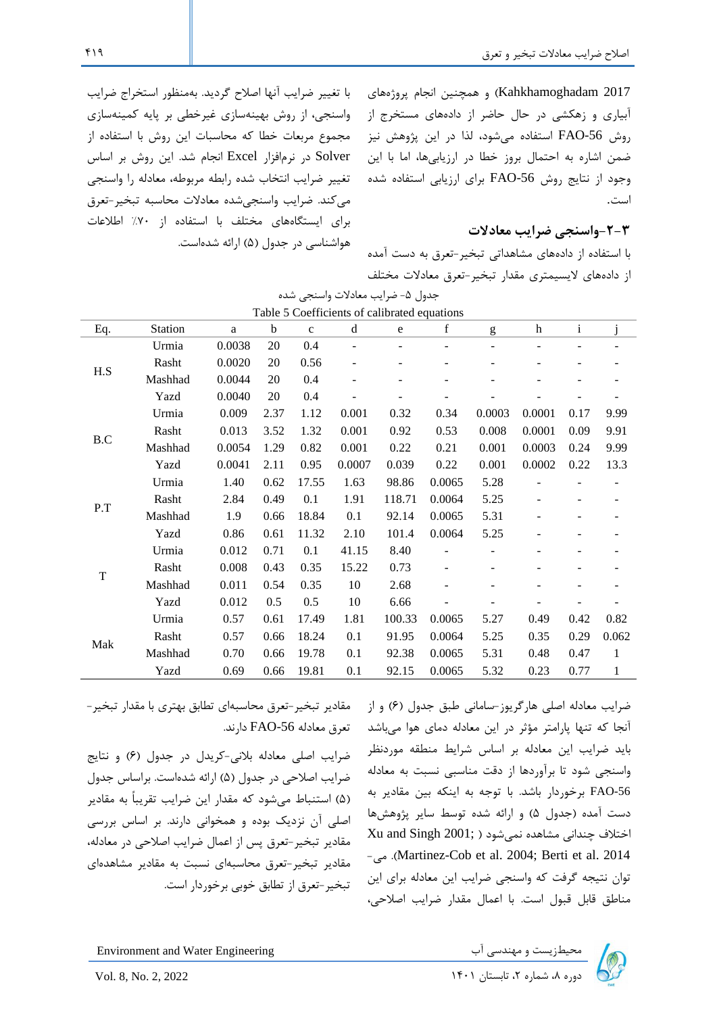2017 Kahkhamoghadam )و همچنین انجام پروژههای آبیاری و زهکشی در حال حاضر از دادههای مستخرج از روش -56FAO استفاده میشود، لذا در این پژوهش نیز ضمن اشاره به احتمال بروز خطا در ارزیابیها، اما با این وجود از نتایج روش -56FAO برای ارزیابی استفاده شده است.

## **-2-3واسنجی ضرایب معادالت**

با استفاده از داده های مشاهداتی تبخیر-تعرق به دست آمده از دادههای الیسیمتری مقدار تبخیر-تعرق معادالت مختلف

با تغییر ضرایب آنها اصالح گردید. بهمنظور استخراج ضرایب واسنجی، از روش بهینهسازی غیرخطی بر پایه کمینهسازی مجموع مربعات خطا که محاسبات این روش با استفاده از Solver در نرمافزار Excel انجام شد. این روش بر اساس تغییر ضرایب انتخاب شده رابطه مربوطه، معادله را واسنجی میکند. ضرایب واسنجیشده معادالت محاسبه تبخیر-تعرق برای ایستگاههای مختلف با استفاده از %70 اطالعات هواشناسی در جدول (۵) ارائه شدهاست.

| Table 5 Coefficients of calibrated equations |         |        |      |              |                          |        |                          |                |        |              |              |
|----------------------------------------------|---------|--------|------|--------------|--------------------------|--------|--------------------------|----------------|--------|--------------|--------------|
| Eq.                                          | Station | a      | b    | $\mathbf{C}$ | d                        | e      | f                        | g              | h      | $\mathbf{i}$ |              |
|                                              | Urmia   | 0.0038 | 20   | 0.4          |                          |        |                          |                |        |              |              |
| $\operatorname{H.S}$                         | Rasht   | 0.0020 | 20   | 0.56         | $\overline{\phantom{a}}$ | ۰      | -                        |                |        |              |              |
|                                              | Mashhad | 0.0044 | 20   | 0.4          | $\overline{\phantom{a}}$ |        | -                        |                |        |              |              |
|                                              | Yazd    | 0.0040 | 20   | 0.4          |                          |        |                          |                |        |              |              |
|                                              | Urmia   | 0.009  | 2.37 | 1.12         | 0.001                    | 0.32   | 0.34                     | 0.0003         | 0.0001 | 0.17         | 9.99         |
|                                              | Rasht   | 0.013  | 3.52 | 1.32         | 0.001                    | 0.92   | 0.53                     | 0.008          | 0.0001 | 0.09         | 9.91         |
| B.C                                          | Mashhad | 0.0054 | 1.29 | 0.82         | 0.001                    | 0.22   | 0.21                     | 0.001          | 0.0003 | 0.24         | 9.99         |
|                                              | Yazd    | 0.0041 | 2.11 | 0.95         | 0.0007                   | 0.039  | 0.22                     | 0.001          | 0.0002 | 0.22         | 13.3         |
|                                              | Urmia   | 1.40   | 0.62 | 17.55        | 1.63                     | 98.86  | 0.0065                   | 5.28           |        |              |              |
|                                              | Rasht   | 2.84   | 0.49 | 0.1          | 1.91                     | 118.71 | 0.0064                   | 5.25           | ÷,     |              |              |
| P.T                                          | Mashhad | 1.9    | 0.66 | 18.84        | 0.1                      | 92.14  | 0.0065                   | 5.31           |        |              |              |
|                                              | Yazd    | 0.86   | 0.61 | 11.32        | 2.10                     | 101.4  | 0.0064                   | 5.25           |        |              |              |
|                                              | Urmia   | 0.012  | 0.71 | 0.1          | 41.15                    | 8.40   | -                        |                |        |              |              |
|                                              | Rasht   | 0.008  | 0.43 | 0.35         | 15.22                    | 0.73   | $\overline{\phantom{a}}$ | $\overline{a}$ |        |              |              |
| $\mathbf T$                                  | Mashhad | 0.011  | 0.54 | 0.35         | 10                       | 2.68   | -                        |                |        |              |              |
|                                              | Yazd    | 0.012  | 0.5  | 0.5          | 10                       | 6.66   |                          |                |        |              |              |
|                                              | Urmia   | 0.57   | 0.61 | 17.49        | 1.81                     | 100.33 | 0.0065                   | 5.27           | 0.49   | 0.42         | 0.82         |
|                                              | Rasht   | 0.57   | 0.66 | 18.24        | 0.1                      | 91.95  | 0.0064                   | 5.25           | 0.35   | 0.29         | 0.062        |
| Mak                                          | Mashhad | 0.70   | 0.66 | 19.78        | 0.1                      | 92.38  | 0.0065                   | 5.31           | 0.48   | 0.47         | 1            |
|                                              | Yazd    | 0.69   | 0.66 | 19.81        | 0.1                      | 92.15  | 0.0065                   | 5.32           | 0.23   | 0.77         | $\mathbf{1}$ |

جدول ۵- ضرایب معادلات واسنجی شده

مقادیر تبخیر-تعرق محاسبهای تطابق بهتری با مقدار تبخیر- تعرق معادله FAO-56 دارند.

ضرایب اصلی معادله بالنی-کریدل در جدول )6( و نتایج ضرایب اصلاحی در جدول (۵) ارائه شدهاست. براساس جدول )5( استنباط میشود که مقدار این ضرایب تقریباً به مقادیر اصلی آن نزدیک بوده و همخوانی دارند. بر اساس بررسی مقادیر تبخیر-تعرق پس از اعمال ضرایب اصالحی در معادله، مقادیر تبخیر-تعرق محاسبهای نسبت به مقادیر مشاهدهای تبخیر-تعرق از تطابق خوبی برخوردار است.

ضرایب معادله اصلی هارگریوز-سامانی طبق جدول )6( و از آنجا که تنها پارامتر مؤثر در این معادله دمای هوا میباشد باید ضرایب این معادله بر اساس شرایط منطقه موردنظر واسنجی شود تا برآوردها از دقت مناسبی نسبت به معادله -56FAO برخوردار باشد. با توجه به اینکه بین مقاد یر به دست آمده )جدول 5( و ارائه شده توسط سایر پژوهشها  $Xu$  and Singh 2001; ) اختلاف چندانی مشاهده نمیشود -  $\epsilon$ . (Martinez-Cob et al. 2004; Berti et al. 2014).  $\epsilon_0$ توان نتیجه گرفت که واسنجی ضرایب این معادله برای این مناطق قابل قبول است. با اعمال مقدار ضرایب اصالحی،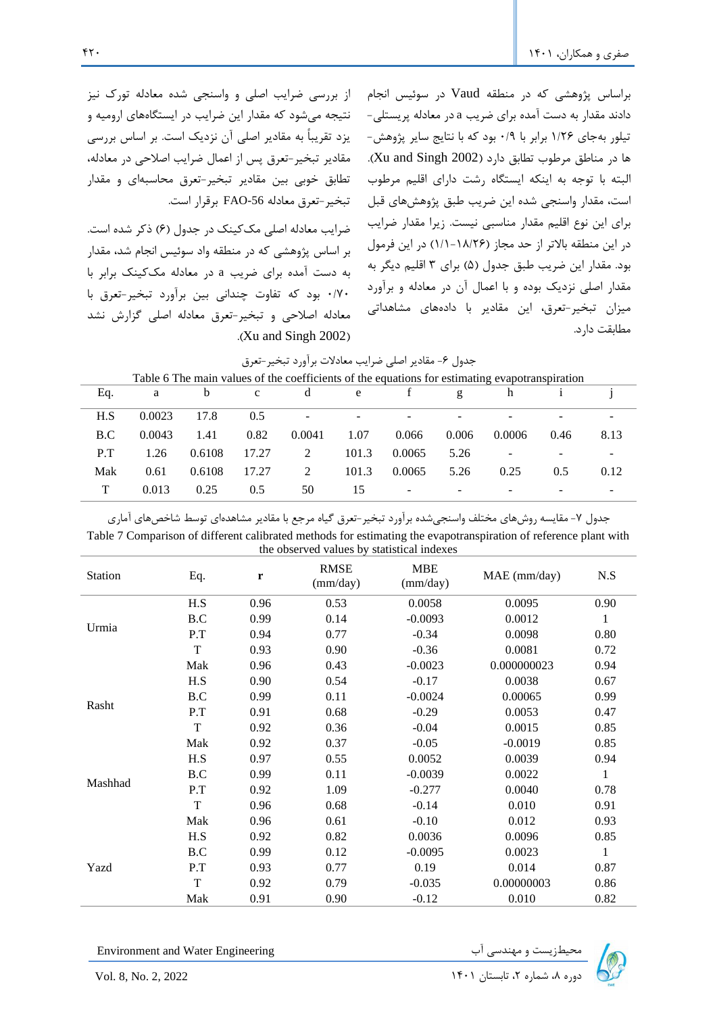براساس پژوهشی که در منطقه Vaud در سوئیس انجام دادند مقدار به دست آمده برای ضریب a در معادله پریستلی- تیلور بهجای 1/26 برابر با 0/9 بود که با نتایج سایر پژوهش - ها در مناطق مرطوب تطابق دارد (Xu and Singh 2002). البته با توجه به اینکه ایستگاه رشت دارای اقلیم مرطوب است، مقدار واسنجی شده این ضریب طبق پژوهشهای قبل برای این نوع اقلیم مقدار مناسبی نیست. زیرا مقدار ضرایب در این منطقه بالاتر از حد مجاز (۱۸/۲۶-۱/۱) در این فرمول بود. مقدار این ضریب طبق جدول (۵) برای ۳ اقلیم دیگر به مقدار اصلی نزدیک بوده و با اعمال آن در معادله و برآورد میزان تبخیر-تعرق، این مقادیر با دادههای مشاهداتی مطابقت دارد.

از بررسی ضرایب اصلی و واسنجی شده معادله تورک نیز نتیجه میشود که مقدار این ضرایب در ایستگاه های ارومیه و یزد تقریباً به مقادیر اصلی آن نزدیک است. بر اساس بررسی مقادیر تبخیر-تعرق پس از اعمال ضرایب اصالحی در معادله، تطابق خوبی بین مقادیر تبخیر-تعرق محاسبهای و مقدار تبخیر-تعرق معادله FAO-56 برقرار است.

ضرایب معادله اصلی مککینک در جدول (۶) ذکر شده است. بر اساس پژوهشی که در منطقه واد سوئیس انجام شد، مقدار به دست آمده برای ضریب a در معادله مککینک برابر با 0/70 بود که تفاوت چندانی ب ین برآورد تبخیر-تعرق با معادله اصالحی و تبخیر-تعرق معادله اصلی گزارش نشد  $(Xu$  and Singh 2002)

| جدول ۶- مقادیر اصلی ضرایب معادلات براورد تبخیر-تعرق |  |  |  |  |  |
|-----------------------------------------------------|--|--|--|--|--|
|-----------------------------------------------------|--|--|--|--|--|

|     | Table 6 The main values of the coefficients of the equations for estimating evapotranspiration |        |              |                |       |        |       |        |      |                          |
|-----|------------------------------------------------------------------------------------------------|--------|--------------|----------------|-------|--------|-------|--------|------|--------------------------|
| Eq. | a                                                                                              | b      | $\mathbf{c}$ | d              | e     |        | g     | h      |      |                          |
| H.S | 0.0023                                                                                         | 17.8   | 0.5          | -              | -     |        |       |        |      |                          |
| B.C | 0.0043                                                                                         | 1.41   | 0.82         | 0.0041         | 1.07  | 0.066  | 0.006 | 0.0006 | 0.46 | 8.13                     |
| P.T | 1.26                                                                                           | 0.6108 | 17.27        | $\overline{2}$ | 101.3 | 0.0065 | 5.26  |        | -    | $\overline{\phantom{0}}$ |
| Mak | 0.61                                                                                           | 0.6108 | 17.27        | 2              | 101.3 | 0.0065 | 5.26  | 0.25   | 0.5  | 0.12                     |
| Т   | 0.013                                                                                          | 0.25   | 0.5          | 50             | 15    | -      |       |        |      |                          |

| جدول ۷- مقایسه روشهای مختلف واسنجیشده برآورد تبخیر-تعرق گیاه مرجع با مقادیر مشاهدهای توسط شاخصهای آماری |  |
|---------------------------------------------------------------------------------------------------------|--|
|---------------------------------------------------------------------------------------------------------|--|

| Table 7 Comparison of different calibrated methods for estimating the evapotranspiration of reference plant with |  |
|------------------------------------------------------------------------------------------------------------------|--|
| the observed values by statistical indexes                                                                       |  |

| Station        | Eq.         | r    | the observed values by statistical indexes<br><b>RMSE</b><br>(mm/day) | <b>MBE</b><br>(mm/day) | MAE (mm/day) | N.S          |
|----------------|-------------|------|-----------------------------------------------------------------------|------------------------|--------------|--------------|
| Urmia<br>Rasht | H.S         | 0.96 | 0.53                                                                  | 0.0058                 | 0.0095       | 0.90         |
|                | B.C         | 0.99 | 0.14                                                                  | $-0.0093$              | 0.0012       | $\mathbf{1}$ |
|                | P.T         | 0.94 | 0.77                                                                  | $-0.34$                | 0.0098       | 0.80         |
|                | $\mathbf T$ | 0.93 | 0.90                                                                  | $-0.36$                | 0.0081       | 0.72         |
|                | Mak         | 0.96 | 0.43                                                                  | $-0.0023$              | 0.000000023  | 0.94         |
|                | H.S         | 0.90 | 0.54                                                                  | $-0.17$                | 0.0038       | 0.67         |
|                | B.C         | 0.99 | 0.11                                                                  | $-0.0024$              | 0.00065      | 0.99         |
|                | P.T         | 0.91 | 0.68                                                                  | $-0.29$                | 0.0053       | 0.47         |
|                | T           | 0.92 | 0.36                                                                  | $-0.04$                | 0.0015       | 0.85         |
| Mashhad        | Mak         | 0.92 | 0.37                                                                  | $-0.05$                | $-0.0019$    | 0.85         |
|                | H.S         | 0.97 | 0.55                                                                  | 0.0052                 | 0.0039       | 0.94         |
|                | B.C         | 0.99 | 0.11                                                                  | $-0.0039$              | 0.0022       | $\mathbf{1}$ |
|                | P.T         | 0.92 | 1.09                                                                  | $-0.277$               | 0.0040       | 0.78         |
|                | $\mathbf T$ | 0.96 | 0.68                                                                  | $-0.14$                | 0.010        | 0.91         |
|                | Mak         | 0.96 | 0.61                                                                  | $-0.10$                | 0.012        | 0.93         |
| Yazd           | H.S         | 0.92 | 0.82                                                                  | 0.0036                 | 0.0096       | 0.85         |
|                | B.C         | 0.99 | 0.12                                                                  | $-0.0095$              | 0.0023       | $\mathbf{1}$ |
|                | P.T         | 0.93 | 0.77                                                                  | 0.19                   | 0.014        | 0.87         |
|                | T           | 0.92 | 0.79                                                                  | $-0.035$               | 0.00000003   | 0.86         |
|                | Mak         | 0.91 | 0.90                                                                  | $-0.12$                | 0.010        | 0.82         |

محیطزیست و مهندسی آب Environment and Water Engineering محیطزیست و مهندسی آب

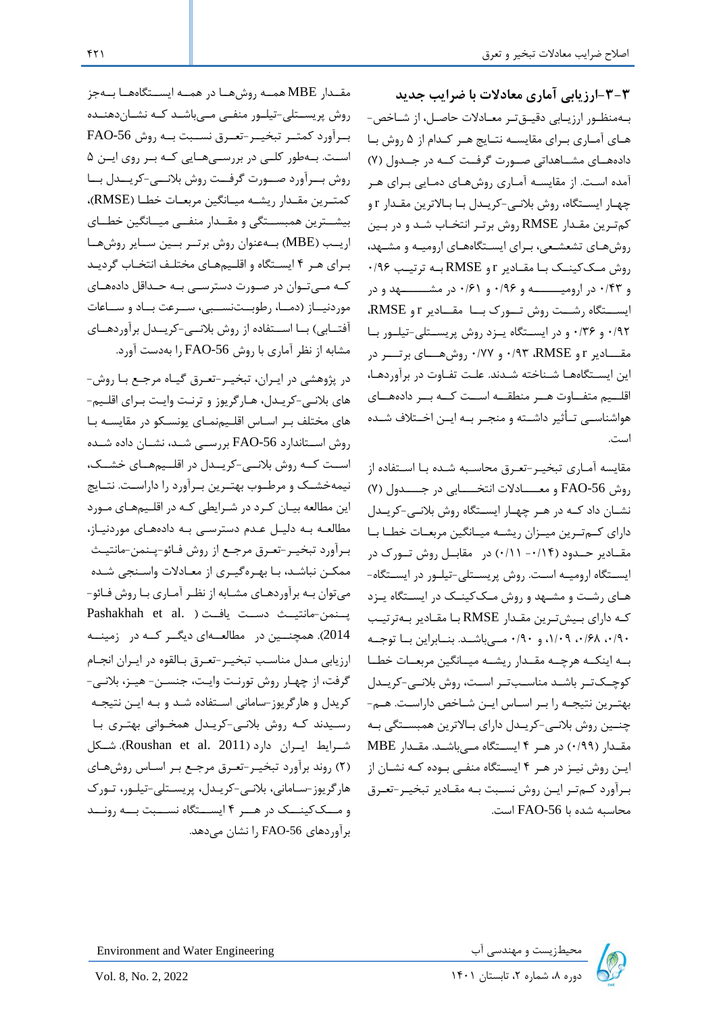**-3-3ارزیابی آماری معادالت با ضرایب جدید**  باهمنظاور ارزیاابی دقیاقتار معاادالت حاصال، از شااخص- هـای آمـاری بـرای مقایسـه نتـایج هـر کـدام از ۵ روش بـا دادههـای مشــاهداتی صــورت گرفــت کــه در جــدول (۷) آمده است. از مقایسـه آمـاری روشهـای دمـایی بـرای هـر چهـار ایسـتگاه، روش بلانـی-کریـدل بـا بـالاترین مقـدار r و کم ترین مقـدار RMSE روش برتـر انتخـاب شـد و در بـین روشهاای تشعشاعی، بارای ایساتگاههاای ارومیاه و مشاهد،  $\cdot$ روش مککینک با مقادیر r و RMSE به ترتیب ۰/۹۶ و ۰/۴۳ در ارومیــــــه و ۰/۶۶ و ۰/۶۱ در مشـــــــهد و در ایسستگاه رشست روش تسورک بسا مقسادیر RMSE، ۰/۹۲ و ۰/۳۶ و در ایستگاه یازد روش پریستلی-تیلور با مقــــادیر r و RMSE، و ۰/۷۷ روشهــــای برتــــر در این ایستگاهها شـناخته شـدند. علـت تفـاوت در برآوردهـا، اقلــیم متفــاوت هــر منطقــه اســت کــه بــر دادههــای هواشناســی تــأثیر داشــته و منجــر بــه ایــن اخــتلاف شــده است.

مقایسه آمـاری تبخیـر-تعـرق محاسـبه شـده بـا اسـتفاده از روش FAO-56 و معــــــادلات انتخــــــابی در جـــــدول (۷) نشان داد که در هر چهار ایستگاه روش بلانی-کریدل دارای کمترین میازان ریشه میانگین مربعات خطا با مقـادیر حـدود (۱۴/۰- ۰/۱۱) در مقابـل روش تـورک در ایستگاه ارومیـه اسـت. روش پریسـتلی-تیلـور در ایسـتگاه-های رشت و مشـهد و روش مـککینـک در ایسـتگاه یـزد که دارای بلیشترین مقلدار RMSE با مقادیر بلهترتیب ۰/۹۰ ،۱/۰۹ ،۱/۰۹ و ۰/۹۰ مهرباشد. بنابراین با توجه بـه اینکـه هرچـه مقـدار ریشـه میـانگین مربعـات خطـا کوچـکتـر باشـد مناسـبتـر اسـت، روش بلانـی-کریـدل بهتـرین نتیجـه را بـر اسـاس ایـن شـاخص داراسـت. هـم-چنین روش بلانی-کریـدل دارای بـالاترین همبسـتگی بـه مقدار (۰/۹۹) در هـر ۴ ایسـتگاه مـیباشـد. مقـدار MBE ایـن روش نیـز در هـر ۴ ایسـتگاه منفـی بـوده کـه نشـان از بـرآورد کـمتـر ایـن روش نسـبت بـه مقـادیر تبخیـر-تعـرق محاسبه شده با FAO-56 است.

مقـدار MBE همـه روشهـا در همـه ایسـتگاههـا بـهجز روش پریستلی-تیلور منفی میباشد که نشاندهنده برآورد کمتـر تبخیـر-تعـرق نسـبت بـه روش FAO-56 است. بهطور کلی در بررسهههایی که بر روی ایس ۵ روش بــرآورد صــورت گرفــت روش بلانـــی-کریـــدل بــا کمتـرین مقـدار ریشـه میـانگین مربعـات خطـا (RMSE)، بیشترین همبستگی و مقـدار منفــی میـانگین خطــای اریــب (MBE) بــهعنوان روش برتــر بــین ســایر روشهــا برای هر ۴ ایستگاه و اقلیمهای مختلف انتخاب گردید کـه مــی تـوان در صـورت دسترســی بـه حـداقل دادههـای موردنیاز (دما، رطوبتنسبی، سرعت باد و ساعات آفتــابی) بــا اســتفاده از روش بلانــی-کریــدل برآوردهــای مشابه از نظر آماری با روش FAO-56 را بهدست آورد.

در پژوهشی در ایبران، تبخیبر-تعبرق گیباه مرجبع بیا روش-های بلانی-کریـدل، هـارگریوز و ترنـت وایـت بـرای اقلـیم-های مختلف بـر اسـاس اقلـیمنمـای یونسـکو در مقایسـه بـا روش اسـتاندارد FAO-56 بررسـی شـد، نشـان داده شـده است که روش بلانهی-کریـدل در اقلـیمهای خشـک، نیمهخشــک و مرطــوب بهتـرین بـرآورد را داراسـت. نتــایج این مطالعه بیان کرد در شرایطی که در اقلیمهای مورد مطالعه به دلیل عدم دسترسی به دادههای موردنیاز، بـرآورد تبخیـر-تعـرق مرجـع از روش فـائو-پـنمن-مانتیـث ممکن نباشد، با بهـرهگیـری از معـادلات واسـنجی شـده میتوان بـه برآوردهـای مشـابه از نظـر آمـاری بـا روش فـائو-Pashakhah et al. ) يسنمن-مانتيىث دسىت يافت (. 2014). همچنسین در مطالعهای دیگر که در زمینه ارزیابی مدل مناسب تبخیـر-تعـرق بـالقوه در ایـران انجـام گرفت، از چهـار روش تورنـت وایـت، جنســن- هیــز، بلانــی-کریدل و هارگریوز-سامانی استفاده شد و بـه ایـن نتیجـه رسیدند که روش بلانی-کریدل همخوانی بهتری با شارایط ایاران دارد (Roushan et al. 2011). شاکل )2( روند برآورد تبخیار-تعارق مرجاع بار اسااس روشهاای هارگریوز-ساامانی، بالنای-کریادل، پریساتلی-تیلاور، تاورک و مــککینــک در هــر ۴ ایســتگاه نســبت بــه رونــد برآوردهای 56-FAO را نشان مے دهد.

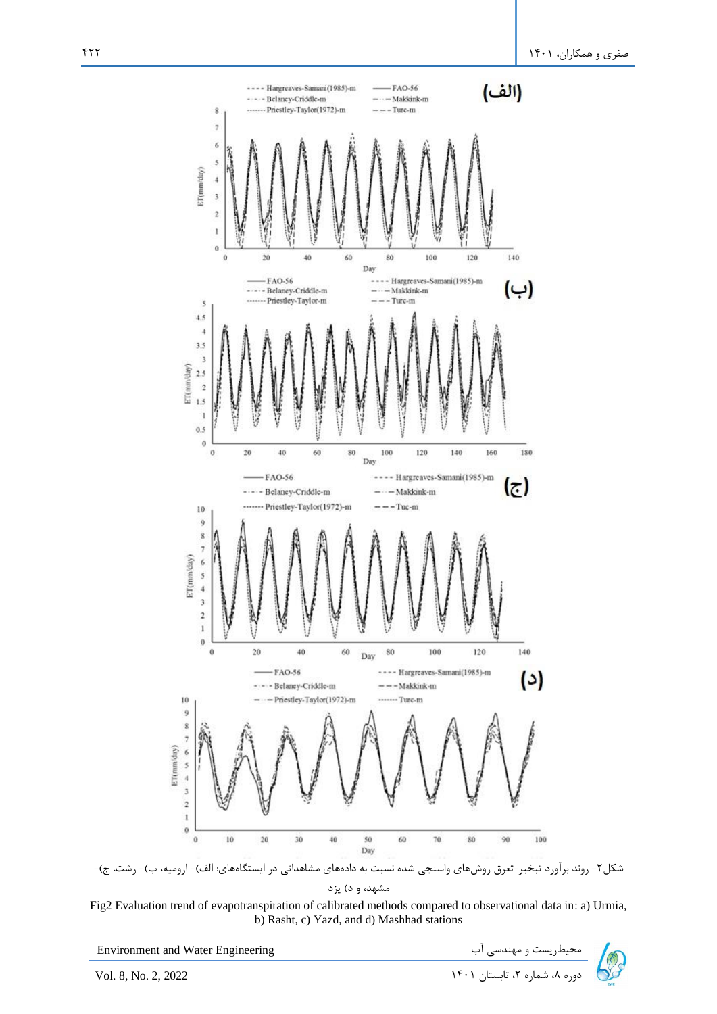

شکل۲- روند برآورد تبخیر-تعرق روشهای واسنجی شده نسبت به دادههای مشاهداتی در ایستگاههای: الف)- ارومیه، ب)- رشت، ج)-مشهد، و د) یزد



Environment and Water Engineering دوره به شماریست و مهندسی آب سمیطازیست و مهندسی آب سمیطان استان ۱۴۰۱ Environment and Water Engineering<br>دوره ۸، شماره ۲، تابستان ۱۴۰۱

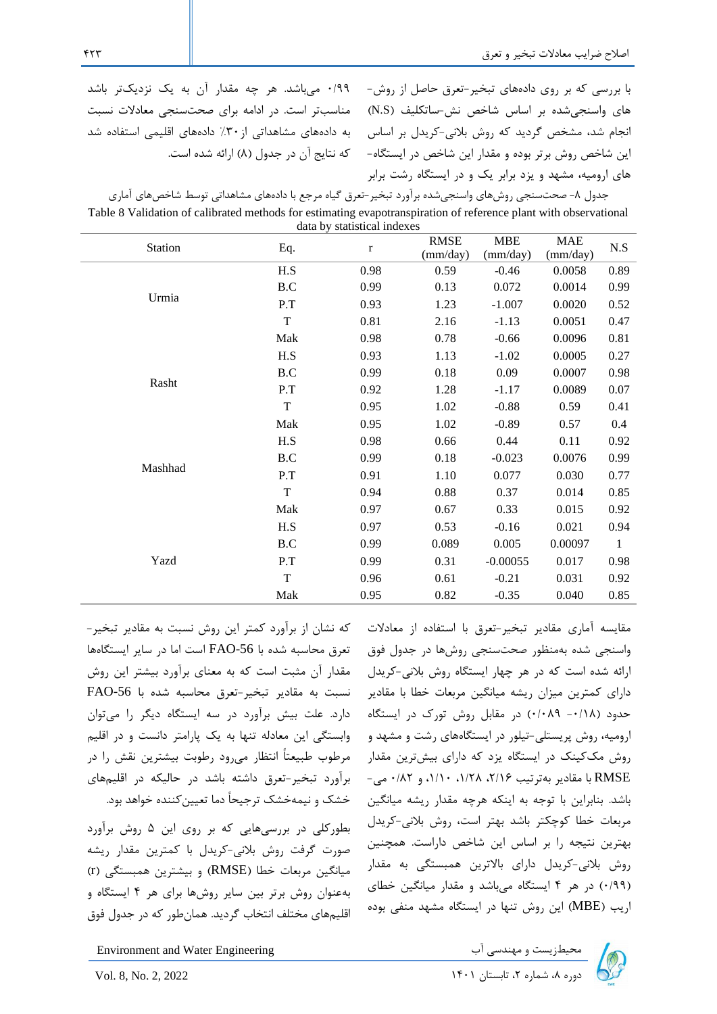0/99 میباشد. هر چه مقدار آن به یک نزدیکتر باشد مناسبتر است. در ادامه برای صحت سنجی معادالت نسبت به دادههای مشاهداتی از%30 دادههای اقلیمی استفاده شد که نتایج آن در جدول (۸) ارائه شده است. با بررسی که بر روی دادههای تبخیر-تعرق حاصل از روش- های واسنجیشده بر اساس شاخص نش-ساتکلیف )S.N ) انجام شد، مشخص گردید که روش بالنی -کریدل بر اساس این شاخص روش برتر بوده و مقدار این شاخص در ایستگاه- های ارومیه، مشهد و یزد برابر یک و در ایستگاه رشت برابر

| جدول ۸- صحتسنجی روشهای واسنجیشده برآورد تبخیر-تعرق گیاه مرجع با دادههای مشاهداتی توسط شاخصهای آماری              |
|------------------------------------------------------------------------------------------------------------------|
| Table 8 Validation of calibrated methods for estimating evapotranspiration of reference plant with observational |
| data by statistical indexes                                                                                      |

| Station | Eq.                  | $\bf r$ | <b>RMSE</b><br>(mm/day) | <b>MBE</b><br>(mm/day) | <b>MAE</b><br>(mm/day) | N.S          |  |  |
|---------|----------------------|---------|-------------------------|------------------------|------------------------|--------------|--|--|
|         | H.S                  | 0.98    | 0.59                    | $-0.46$                | 0.0058                 | 0.89         |  |  |
|         | B.C                  | 0.99    | 0.13                    | 0.072                  | 0.0014                 | 0.99         |  |  |
| Urmia   | P.T                  | 0.93    | 1.23                    | $-1.007$               | 0.0020                 | 0.52         |  |  |
|         | $\mathbf T$          | 0.81    | 2.16                    | $-1.13$                | 0.0051                 | 0.47         |  |  |
|         | Mak                  | 0.98    | 0.78                    | $-0.66$                | 0.0096                 | 0.81         |  |  |
|         | H.S                  | 0.93    | 1.13                    | $-1.02$                | 0.0005                 | 0.27         |  |  |
|         | B.C                  | 0.99    | 0.18                    | 0.09                   | 0.0007                 | 0.98         |  |  |
| Rasht   | P.T                  | 0.92    | 1.28                    | $-1.17$                | 0.0089                 | 0.07         |  |  |
|         | $\mathbf T$          | 0.95    | 1.02                    | $-0.88$                | 0.59                   | 0.41         |  |  |
|         | Mak                  | 0.95    | 1.02                    | $-0.89$                | 0.57                   | 0.4          |  |  |
|         | H.S                  | 0.98    | 0.66                    | 0.44                   | 0.11                   | 0.92         |  |  |
|         | $\operatorname{B.C}$ | 0.99    | 0.18                    | $-0.023$               | 0.0076                 | 0.99         |  |  |
| Mashhad | P.T                  | 0.91    | 1.10                    | 0.077                  | 0.030                  | 0.77         |  |  |
|         | $\rm T$              | 0.94    | 0.88                    | 0.37                   | 0.014                  | 0.85         |  |  |
|         | Mak                  | 0.97    | 0.67                    | 0.33                   | 0.015                  | 0.92         |  |  |
|         | H.S                  | 0.97    | 0.53                    | $-0.16$                | 0.021                  | 0.94         |  |  |
|         | B.C                  | 0.99    | 0.089                   | 0.005                  | 0.00097                | $\mathbf{1}$ |  |  |
| Yazd    | P.T                  | 0.99    | 0.31                    | $-0.00055$             | 0.017                  | 0.98         |  |  |
|         | $\mathbf T$          | 0.96    | 0.61                    | $-0.21$                | 0.031                  | 0.92         |  |  |
|         | Mak                  | 0.95    | 0.82                    | $-0.35$                | 0.040                  | 0.85         |  |  |

که نشان از برآورد کمتر این روش نسبت به مقادیر تبخیر- تعرق محاسبه شده با FAO-56 است اما در سایر ایستگاهها مقدار آن مثبت است که به معنای برآورد بیشتر این روش  $FAO-56$  نسبت به مقادیر تبخیر-تعرق محاسبه شده با دارد. علت بیش برآورد در سه ایستگاه دیگر را میتوان وابستگی این معادله تنها به یک پارامتر دانست و در اقلیم مرطوب طبیعتاً انتظار میرود رطوبت بیشترین نقش را در برآورد تبخیر-تعرق داشته باشد در حالیکه در اقلیمهای خشک و نیمهخشک ترجیحاً دما تعیینکننده خواهد بود.

بطورکلی در بررسیهایی که بر روی این 5 روش برآورد صورت گرفت روش بالنی-کریدل با کمترین مقدار ریشه میانگین مربعات خطا )RMSE )و بیشترین همبستگی )r ) بهعنوان روش برتر بین سایر روشها برای هر 4 ایستگاه و اقلیمهای مختلف انتخاب گردید. همانطور که در جدول فوق

مقایسه آماری مقادیر تبخیر-تعرق با استفاده از معادالت واسنجی شده بهمنظور صحتسنجی روشها در جدول فوق ارائه شده است که در هر چهار ا یستگاه روش بالنی -کریدل دارای کمترین میزان ریشه میانگین مربعات خطا با مقادیر حدود )-0/18 0/089( در مقابل روش تورک در ایستگاه ارومیه، روش پریستلی-تیلور در ایستگاههای رشت و مشهد و روش مککینک در ایستگاه یزد که دارای بیشترین مقدار RMSE با مقادیر بهترتیب ،2/16 ،1/28 ،1/10 و 0/82 می - باشد. بنابراین با توجه به اینکه هرچه مقدار ریشه میانگین مربعات خطا کوچکتر باشد بهتر است، روش بالنی-کریدل بهترین نتیجه را بر اساس این شاخص داراست. همچنین روش بالنی-کریدل دارای باالترین همبستگی به مقدار )0/99( در هر 4 ایستگاه میباشد و مقدار میانگین خطای اریب )MBE )این روش تنها در ایستگاه مشهد منفی بوده



Environment and Water Engineering دوره ،8 شماره ،2 تابستان 1401 2022 2, .No 8, .Vol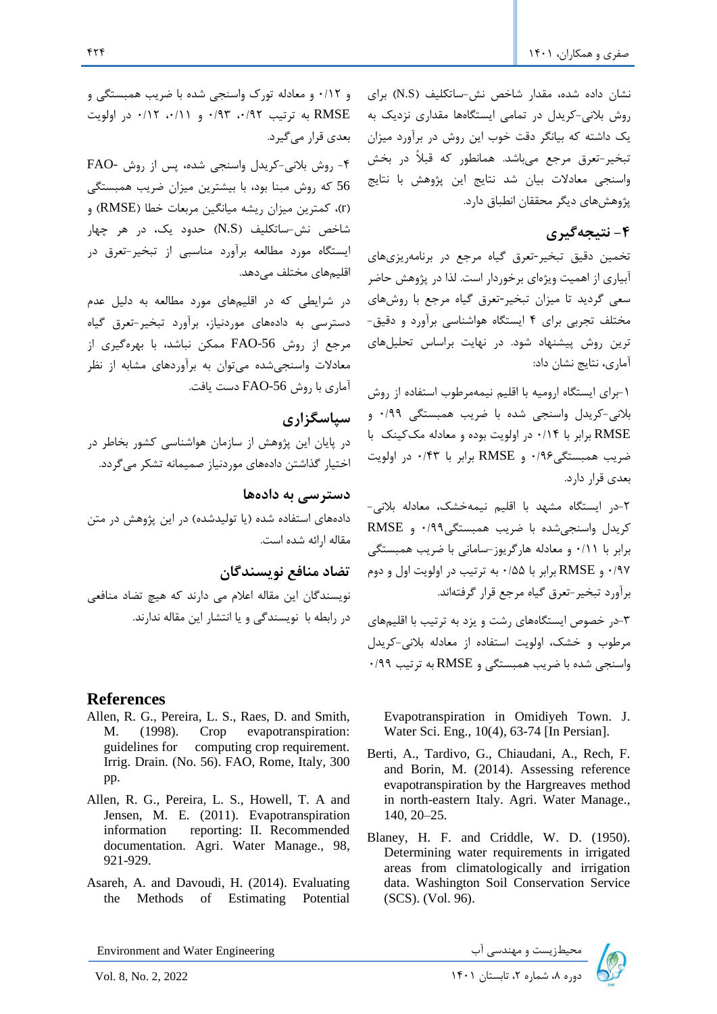نشان داده شده، مقدار شاخص نش-ساتکلیف (N.S) برای روش بالنی-کریدل در تمامی ایستگاهها مقداری نزدیک به یک داشته که بیانگر دقت خوب این روش در برآورد میزان تبخیر-تعرق مرجع میباشد. همانطور که قبالً در بخش واسنجی معادالت بیان شد نتایج این پژوهش با نتایج پژوهشهای دیگر محققان انطباق دارد.

# **-4 نتیجهگیری**

تخمین دقیق تبخیر-تعرق گیاه مرجع در برنامهریزیهای آبیاری از اهمیت ویژهای برخوردار است. لذا در پژوهش حاضر سعی گردید تا میزان تبخیر-تعرق گیاه مرجع با روشهای مختلف تجربی برای 4 ایستگاه هواشناسی برآورد و دقیق- ترین روش پیشنهاد شود. در نهایت براساس تحلیلهای آماری، نتایج نشان داد:

-1برای ایستگاه ارومیه با اقلیم نیمهمرطوب استفاده از روش بالنی-کریدل واسنجی شده با ضریب همبستگی 0/99 و RMSE برابر با 0/14 در اولویت بوده و معادله مککینک با ضریب همبستگی0/96 و RMSE برابر با 0/43 در اولویت بعدی قرار دارد.

7-در ایستگاه مشهد با اقلیم نیمهخشک، معادله بلانی-کریدل واسنجیشده با ضریب همبستگی0/99 و RMSE برابر با 0/11 و معادله هارگریوز-سامان ی با ضریب همبستگی 0/97 و RMSE برابر با 0/55 به ترتیب در اولویت اول و دوم برآورد تبخیر-تعرق گیاه مرجع قرار گرفتهاند.

-3در خصوص ایستگاههای رشت و یزد به ترتیب با اقلیم های مرطوب و خشک، اولویت استفاده از معادله بالنی-کریدل واسنجی شده با ضریب همبستگی و RMSE به ترتیب 0/99

Evapotranspiration in Omidiyeh Town. J. Water Sci. Eng., 10(4), 63-74 [In Persian].

- Berti, A., Tardivo, G., Chiaudani, A., Rech, F. and Borin, M. (2014). Assessing reference evapotranspiration by the Hargreaves method in north-eastern Italy. Agri. Water Manage., 140, 20–25.
- Blaney, H. F. and Criddle, W. D. (1950). Determining water requirements in irrigated areas from climatologically and irrigation data. Washington Soil Conservation Service (SCS). (Vol. 96).

Environment and Water Engineering دوره بازیست و مهندسی آب سی است است است و مهندسی آب محیطزیست و مهندسی آب سی Environment and Water Engineering<br>2) دوره ۸، شماره ۲، تابستان ۱۴۰۱

و 0/12 و معادله تورک واسنجی شده با ضریب همبستگی و RMSE به ترتیب ،0/92 0/93 و ،0/11 0/12 در اولویت بعدی قرار می گیرد.

-4 روش بالنی-کریدل واسنجی شده، پس از روش -FAO 56 که روش مبنا بود، با بیشترین میزان ضریب همبستگی )r)، کمترین میزان ریشه میانگین مربعات خطا )RMSE )و شاخص نش-ساتکلیف (N.S) حدود یک، در هر چهار ایستگاه مورد مطالعه برآورد مناسبی از تبخیر-تعرق در اقلیمهای مختلف میدهد.

در شرایطی که در اقلیمهای مورد مطالعه به دلیل عدم دسترسی به دادههای موردنیاز، برآورد تبخیر-تعرق گیاه مرجع از روش -56FAO ممکن نباشد، با بهرهگیری از معادالت واسنجیشده میتوان به برآوردهای مشابه از نظر آماری با روش FAO-56 دست یافت.

## **سپاسگزاری**

در پا یان این پژوهش از سازمان هواشناسی کشور بخاطر در اختیار گذاشتن دادههای موردنیاز صمیمانه تشکر میگردد.

**دسترسی به داده ها** دادههای استفاده شده (یا تولیدشده) در این پژوهش در متن مقاله ارائه شده است.

**تضاد منافع نویسندگان**  نویسندگان این مقاله اعالم می دارند که هیچ تضاد منافعی در رابطه با نویسندگی و یا انتشار این مقاله ندارند .

## **References**

- Allen, R. G., Pereira, L. S., Raes, D. and Smith, M. (1998). Crop evapotranspiration: guidelines for computing crop requirement. Irrig. Drain. (No. 56). FAO, Rome, Italy, 300 pp.
- Allen, R. G., Pereira, L. S., Howell, T. A and Jensen, M. E. (2011). Evapotranspiration information reporting: II. Recommended documentation. Agri. Water Manage., 98, 921-929.
- Asareh, A. and Davoudi, H. (2014). Evaluating the Methods of Estimating Potential

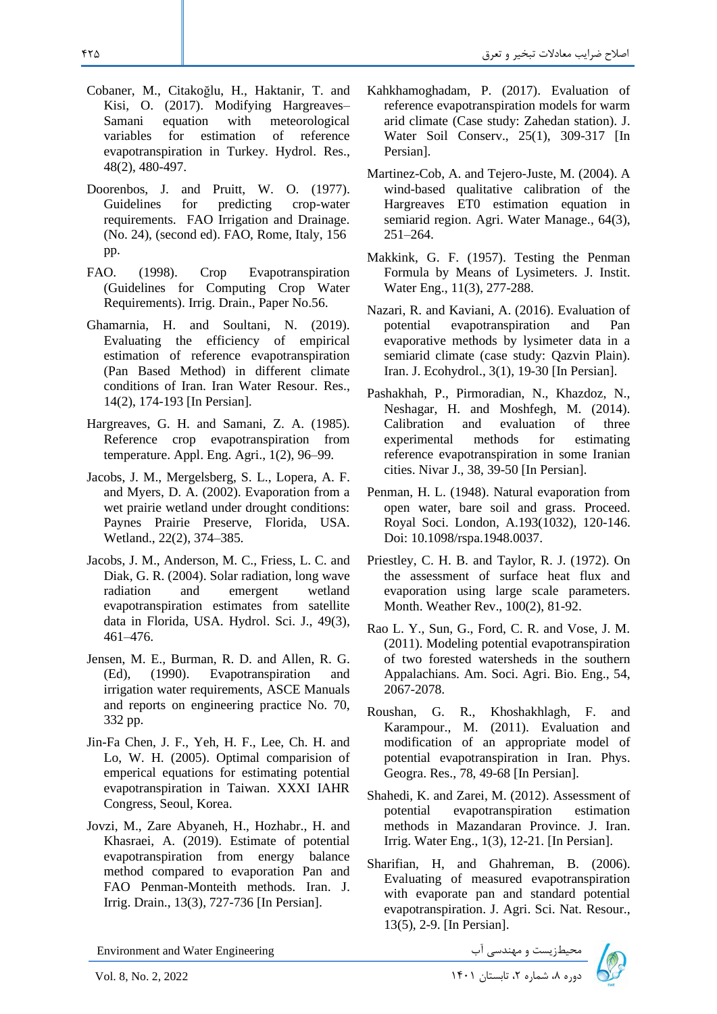- Cobaner, M., Citakoğlu, H., Haktanir, T. and Kisi, O. (2017). Modifying Hargreaves– Samani equation with meteorological variables for estimation of reference evapotranspiration in Turkey. Hydrol. Res., 48(2), 480-497.
- Doorenbos, J. and Pruitt, W. O. (1977). Guidelines for predicting crop-water requirements. FAO Irrigation and Drainage. (No. 24), (second ed). FAO, Rome, Italy, 156 pp.
- FAO. (1998). Crop Evapotranspiration (Guidelines for Computing Crop Water Requirements). Irrig. Drain., Paper No.56.
- Ghamarnia, H. and Soultani, N. (2019). Evaluating the efficiency of empirical estimation of reference evapotranspiration (Pan Based Method) in different climate conditions of Iran. Iran Water Resour. Res., 14(2), 174-193 [In Persian].
- Hargreaves, G. H. and Samani, Z. A. (1985). Reference crop evapotranspiration from temperature. Appl. Eng. Agri., 1(2), 96–99.
- Jacobs, J. M., Mergelsberg, S. L., Lopera, A. F. and Myers, D. A. (2002). Evaporation from a wet prairie wetland under drought conditions: Paynes Prairie Preserve, Florida, USA. Wetland., 22(2), 374–385.
- Jacobs, J. M., Anderson, M. C., Friess, L. C. and Diak, G. R. (2004). Solar radiation, long wave radiation and emergent wetland evapotranspiration estimates from satellite data in Florida, USA. Hydrol. Sci. J., 49(3), 461–476.
- Jensen, M. E., Burman, R. D. and Allen, R. G. (Ed), (1990). Evapotranspiration and irrigation water requirements, ASCE Manuals and reports on engineering practice No. 70, 332 pp.
- Jin-Fa Chen, J. F., Yeh, H. F., Lee, Ch. H. and Lo, W. H. (2005). Optimal comparision of emperical equations for estimating potential evapotranspiration in Taiwan. XXXI IAHR Congress, Seoul, Korea.
- Jovzi, M., Zare Abyaneh, H., Hozhabr., H. and Khasraei, A. (2019). Estimate of potential evapotranspiration from energy balance method compared to evaporation Pan and FAO Penman-Monteith methods. Iran. J. Irrig. Drain., 13(3), 727-736 [In Persian].

محیطزیست و مهندسی آب Engineering Water and Environment

- Kahkhamoghadam, P. (2017). Evaluation of reference evapotranspiration models for warm arid climate (Case study: Zahedan station). J. Water Soil Conserv., 25(1), 309-317 [In Persian].
- Martinez-Cob, A. and Tejero-Juste, M. (2004). A wind-based qualitative calibration of the Hargreaves ET0 estimation equation in semiarid region. Agri. Water Manage., 64(3), 251–264.
- Makkink, G. F. (1957). Testing the Penman Formula by Means of Lysimeters. J. Instit. Water Eng., 11(3), 277-288.
- Nazari, R. and Kaviani, A. (2016). Evaluation of potential evapotranspiration and Pan evaporative methods by lysimeter data in a semiarid climate (case study: Qazvin Plain). Iran. J. Ecohydrol., 3(1), 19-30 [In Persian].
- Pashakhah, P., Pirmoradian, N., Khazdoz, N., Neshagar, H. and Moshfegh, M. (2014). Calibration and evaluation of three experimental methods for estimating reference evapotranspiration in some Iranian cities. Nivar J., 38, 39-50 [In Persian].
- Penman, H. L. (1948). Natural evaporation from open water, bare soil and grass. Proceed. Royal Soci. London, A.193(1032), 120-146. Doi: 10.1098/rspa.1948.0037.
- Priestley, C. H. B. and Taylor, R. J. (1972). On the assessment of surface heat flux and evaporation using large scale parameters. Month. Weather Rev., 100(2), 81-92.
- Rao L. Y., Sun, G., Ford, C. R. and Vose, J. M. (2011). Modeling potential evapotranspiration of two forested watersheds in the southern Appalachians. Am. Soci. Agri. Bio. Eng., 54, 2067-2078.
- Roushan, G. R., Khoshakhlagh, F. and Karampour., M. (2011). Evaluation and modification of an appropriate model of potential evapotranspiration in Iran. Phys. Geogra. Res., 78, 49-68 [In Persian].
- Shahedi, K. and Zarei, M. (2012). Assessment of potential evapotranspiration estimation methods in Mazandaran Province. J. Iran. Irrig. Water Eng., 1(3), 12-21. [In Persian].
- Sharifian, H, and Ghahreman, B. (2006). Evaluating of measured evapotranspiration with evaporate pan and standard potential evapotranspiration. J. Agri. Sci. Nat. Resour., 13(5), 2-9. [In Persian].